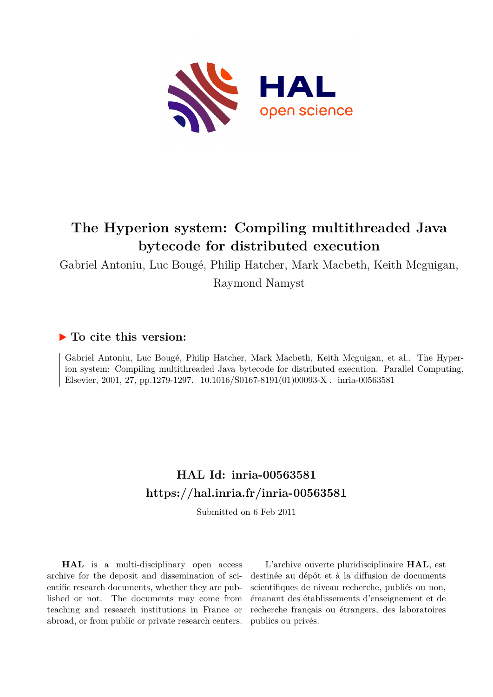

# **The Hyperion system: Compiling multithreaded Java bytecode for distributed execution**

Gabriel Antoniu, Luc Bougé, Philip Hatcher, Mark Macbeth, Keith Mcguigan,

Raymond Namyst

### **To cite this version:**

Gabriel Antoniu, Luc Bougé, Philip Hatcher, Mark Macbeth, Keith Mcguigan, et al.. The Hyperion system: Compiling multithreaded Java bytecode for distributed execution. Parallel Computing, Elsevier, 2001, 27, pp.1279-1297. 10.1016/S0167-8191(01)00093-X. inria-00563581

### **HAL Id: inria-00563581 <https://hal.inria.fr/inria-00563581>**

Submitted on 6 Feb 2011

**HAL** is a multi-disciplinary open access archive for the deposit and dissemination of scientific research documents, whether they are published or not. The documents may come from teaching and research institutions in France or abroad, or from public or private research centers.

L'archive ouverte pluridisciplinaire **HAL**, est destinée au dépôt et à la diffusion de documents scientifiques de niveau recherche, publiés ou non, émanant des établissements d'enseignement et de recherche français ou étrangers, des laboratoires publics ou privés.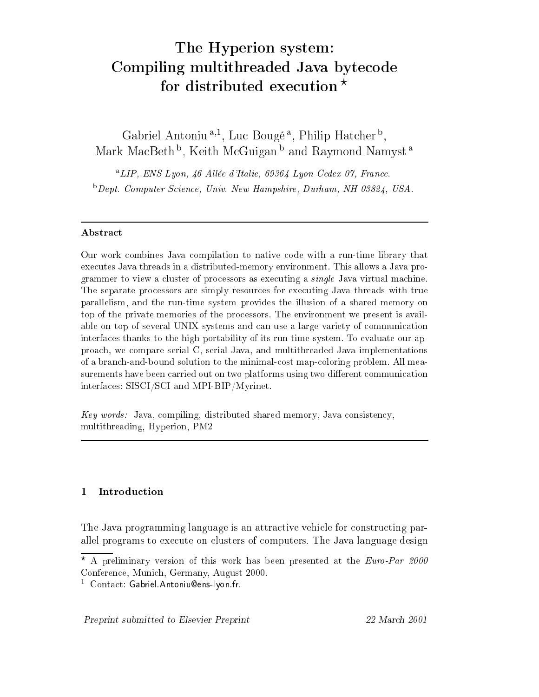## The Hyperion system: Compiling multithreaded Java byte
ode ior aistributed execution

Gabriel Antoniu <sup>--,</sup> Luc Bouge <sup>-</sup>, Philip Hatcher <sup>-</sup>, Mark Ma
Beth <sup>b</sup> , Keith M
Guigan <sup>b</sup> and Raymond Namyst <sup>a</sup>

<sup>a</sup>LIP, ENS Lyon, 46 Allée d'Italie, 69364 Lyon Cedex 07, France. <sup>b</sup>Dept. Computer Science, Univ. New Hampshire, Durham, NH 03824, USA.

#### **Abstract**

Our work ombines Java ompilation to native ode with a run-time library that exe
utes Java threads in a distributed-memory environment. This allows a Java programmer to view a cluster of processors as executing a *single* Java virtual machine. The separate pro
essors are simply resour
es for exe
uting Java threads with true parallelism, and the run-time system provides the illusion of a shared memory on top of the private memories of the pro
essors. The environment we present is available on top of several UNIX systems and can use a large variety of communication interfa
es thanks to the high portability of its run-time system. To evaluate our approa
h, we ompare serial C, serial Java, and multithreaded Java implementations of a bran
h-and-bound solution to the minimalost mapoloring problem. All measurements have been carried out on two platforms using two different communication interfa
es: SISCI/SCI and MPI-BIP/Myrinet.

Key words: Java, compiling, distributed shared memory, Java consistency, multithreading, Hyperion, PM2

#### 1 Introdu
tion

The Java programming language is an attractive vehicle for constructing parallel programs to exe
ute on lusters of omputers. The Java language design

Preprint submitted to Elsevier Preprint 22 March 2001

<sup>?</sup> A preliminary version of this work has been presented at the Euro-Par 2000 Conferen
e, Muni
h, Germany, August 2000.

<sup>1</sup> Conta
t: Gabriel.Antoniuens- lyon.fr.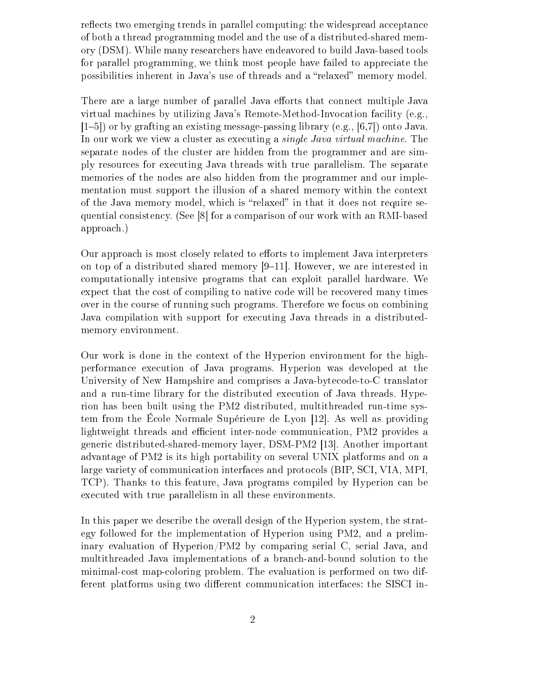reflects two emerging trends in parallel computing: the widespread acceptance of both a thread programming model and the use of a distributed-shared memory (DSM). While many resear
hers have endeavored to build Java-based tools for parallel programming, we think most people have failed to appre
iate the possibilities inherent in Java's use of threads and a "relaxed" memory model.

There are a large number of parallel Java efforts that connect multiple Java virtual machines by utilizing Java's Remote-Method-Invocation facility (e.g.,  $[1–5]$  or by grafting an existing message-passing library (e.g., [6,7]) onto Java. In our work we view a cluster as executing a *single Java virtual machine*. The separate nodes of the luster are hidden from the programmer and are simply resour
es for exe
uting Java threads with true parallelism. The separate memories of the nodes are also hidden from the programmer and our implementation must support the illusion of a shared memory within the ontext of the Java memory model, which is "relaxed" in that it does not require sequential consistency. (See |8| for a comparison of our work with an RMI-based approa
h.)

Our approach is most closely related to efforts to implement Java interpreters on top of a distributed shared memory  $[9-11]$ . However, we are interested in omputationally intensive programs that an exploit parallel hardware. We expe
t that the ost of ompiling to native ode will be re
overed many times over in the ourse of running su
h programs. Therefore we fo
us on ombining Java ompilation with support for exe
uting Java threads in a distributedmemory environment.

Our work is done in the ontext of the Hyperion environment for the highperforman
e exe
ution of Java programs. Hyperion was developed at the University of New Hampshire and comprises a Java-bytecode-to-C translator and a run-time library for the distributed exe
ution of Java threads. Hyperion has been built using the PM2 distributed, multithreaded run-time system from the École Normale Supérieure de Lyon [12]. As well as providing lightweight threads and efficient inter-node communication, PM2 provides a generic distributed-shared-memory layer, DSM-PM2 [13]. Another important advantage of PM2 is its high portability on several UNIX platforms and on a large variety of ommuni
ation interfa
es and proto
ols (BIP, SCI, VIA, MPI, TCP). Thanks to this feature, Java programs ompiled by Hyperion an be executed with true parallelism in all these environments.

In this paper we describe the overall design of the Hyperion system, the strategy followed for the implementation of Hyperion using PM2, and a preliminary evaluation of Hyperion/PM2 by omparing serial C, serial Java, and multithreaded Java implementations of a bran
h-and-bound solution to the minimalost mapoloring problem. The evaluation is performed on two different platforms using two different communication interfaces: the SISCI in-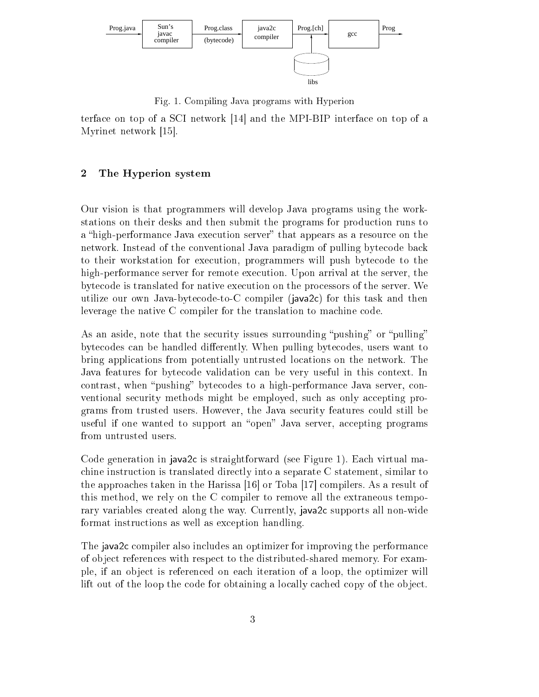

Fig. 1. Compiling Java programs with Hyperion

terface on top of a SCI network [14] and the MPI-BIP interface on top of a Myrinet network [15].

#### 2 The Hyperion system

Our vision is that programmers will develop Java programs using the workstations on their desks and then submit the programs for produ
tion runs to a "high-performance Java execution server" that appears as a resource on the network. Instead of the conventional Java paradigm of pulling bytecode back to their workstation for exe
ution, programmers will push byte
ode to the high-performance server for remote execution. Upon arrival at the server, the byte
ode is translated for native exe
ution on the pro
essors of the server. We utilize our own Java-byte
ode-to-C ompiler (java2
) for this task and then leverage the native C compiler for the translation to machine code.

As an aside, note that the security issues surrounding "pushing" or "pulling" bytecodes can be handled differently. When pulling bytecodes, users want to bring appli
ations from potentially untrusted lo
ations on the network. The Java features for bytecode validation can be very useful in this context. In contrast, when "pushing" bytecodes to a high-performance Java server, conventional security methods might be employed, such as only accepting programs from trusted users. However, the Java se
urity features ould still be useful if one wanted to support an "open" Java server, accepting programs from untrusted users.

Code generation in java2c is straightforward (see Figure 1). Each virtual machine instruction is translated directly into a separate C statement, similar to the approaches taken in the Harissa  $[16]$  or Toba  $[17]$  compilers. As a result of this method, we rely on the C ompiler to remove all the extraneous temporary variables created along the way. Currently, java2c supports all non-wide format instructions as well as exception handling.

The java2c compiler also includes an optimizer for improving the performance of obje
t referen
es with respe
t to the distributed-shared memory. For example, if an obje
t is referen
ed on ea
h iteration of a loop, the optimizer will lift out of the loop the code for obtaining a locally cached copy of the object.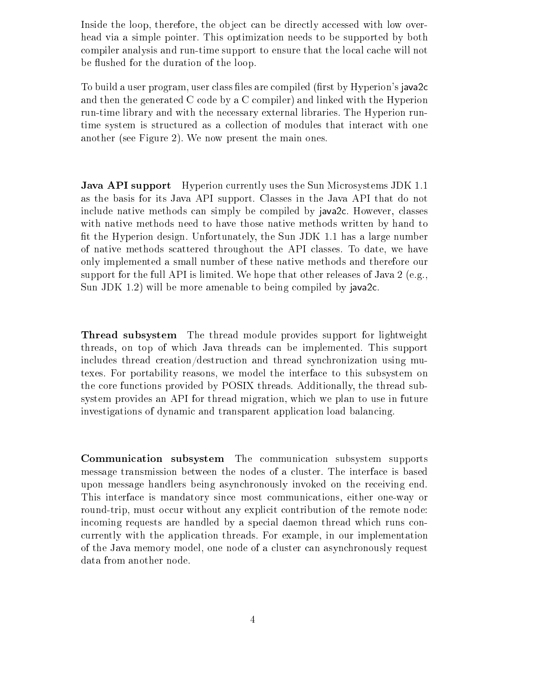Inside the loop, therefore, the object can be directly accessed with low overhead via a simple pointer. This optimization needs to be supported by both compiler analysis and run-time support to ensure that the local cache will not be flushed for the duration of the loop.

To build a user program, user class files are compiled (first by Hyperion's java2c and then the generated C ode by a C ompiler) and linked with the Hyperion run-time library and with the ne
essary external libraries. The Hyperion runtime system is structured as a collection of modules that interact with one another (see Figure 2). We now present the main ones.

**Java API support** Hyperion currently uses the Sun Microsystems JDK 1.1 as the basis for its Java API support. Classes in the Java API that do not include native methods can simply be compiled by **java2c**. However, classes with native methods need to have those native methods written by hand to fit the Hyperion design. Unfortunately, the Sun JDK 1.1 has a large number of native methods s
attered throughout the API lasses. To date, we have only implemented a small number of these native methods and therefore our support for the full API is limited. We hope that other releases of Java 2 (e.g., Sun JDK 1.2) will be more amenable to being compiled by java2c.

Thread subsystem The thread module provides support for lightweight threads, on top of whi
h Java threads an be implemented. This support includes thread creation/destruction and thread synchronization using mutexes. For portability reasons, we model the interfa
e to this subsystem on the ore fun
tions provided by POSIX threads. Additionally, the thread subsystem provides an API for thread migration, whi
h we plan to use in future investigations of dynamic and transparent application load balancing.

Communi
ation subsystem The ommuni
ation subsystem supports message transmission between the nodes of a luster. The interfa
e is based upon message handlers being asyn
hronously invoked on the re
eiving end. This interfa
e is mandatory sin
e most ommuni
ations, either one-way or round-trip, must occur without any explicit contribution of the remote node: incoming requests are handled by a special daemon thread which runs conurrently with the appli
ation threads. For example, in our implementation of the Java memory model, one node of a luster an asyn
hronously request data from another node.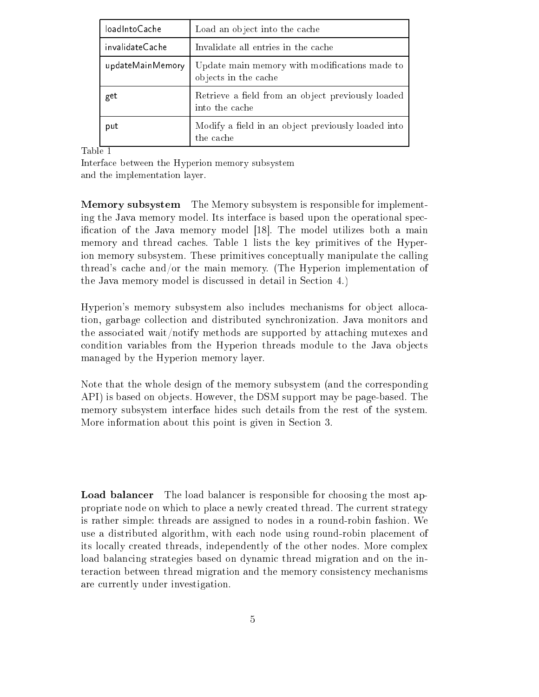| loadIntoCache    | Load an object into the cache                                         |  |  |
|------------------|-----------------------------------------------------------------------|--|--|
| invalidateCache  | Invalidate all entries in the cache                                   |  |  |
| updateMainMemory | Update main memory with modifications made to<br>objects in the cache |  |  |
| get              | Retrieve a field from an object previously loaded<br>into the cache   |  |  |
| put              | Modify a field in an object previously loaded into<br>the cache       |  |  |

Table 1

Interfa
e between the Hyperion memory subsystem

and the implementation layer.

Memory subsystem The Memory subsystem is responsible for implementing the Java memory model. Its interfa
e is based upon the operational spe
 ification of the Java memory model [18]. The model utilizes both a main memory and thread caches. Table 1 lists the key primitives of the Hyperion memory subsystem. These primitives on
eptually manipulate the alling thread's a
he and/or the main memory. (The Hyperion implementation of the Java memory model is dis
ussed in detail in Se
tion 4.)

Hyperion's memory subsystem also in
ludes me
hanisms for obje
t allo
ation, garbage olle
tion and distributed syn
hronization. Java monitors and the asso
iated wait/notify methods are supported by atta
hing mutexes and condition variables from the Hyperion threads module to the Java objects managed by the Hyperion memory layer.

Note that the whole design of the memory subsystem (and the orresponding API) is based on objects. However, the DSM support may be page-based. The memory subsystem interfa
e hides su
h details from the rest of the system. More information about this point is given in Section 3.

Load balancer The load balancer is responsible for choosing the most appropriate node on which to place a newly created thread. The current strategy is rather simple: threads are assigned to nodes in a round-robin fashion. We use a distributed algorithm, with ea
h node using round-robin pla
ement of its locally created threads, independently of the other nodes. More complex load balan
ing strategies based on dynami thread migration and on the interaction between thread migration and the memory consistency mechanisms are urrently under investigation.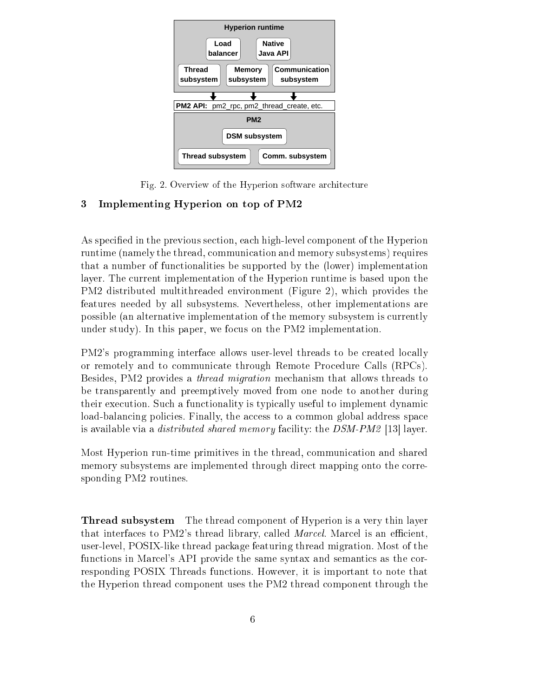

Fig. 2. Overview of the Hyperion software ar
hite
ture

### 3 Implementing Hyperion on top of PM2

As specified in the previous section, each high-level component of the Hyperion runtime (namely the thread, communication and memory subsystems) requires that a number of fun
tionalities be supported by the (lower) implementation layer. The urrent implementation of the Hyperion runtime is based upon the PM2 distributed multithreaded environment (Figure 2), whi
h provides the features needed by all subsystems. Nevertheless, other implementations are possible (an alternative implementation of the memory subsystem is currently under study). In this paper, we focus on the PM2 implementation.

PM2's programming interface allows user-level threads to be created locally or remotely and to ommuni
ate through Remote Pro
edure Calls (RPCs). Besides, PM2 provides a *thread migration* mechanism that allows threads to be transparently and preemptively moved from one node to another during their execution. Such a functionality is typically useful to implement dynamic load-balancing policies. Finally, the access to a common global address space is available via a *distributed shared memory* facility: the  $DSM-PM2$  [13] layer.

Most Hyperion run-time primitives in the thread, communication and shared memory subsystems are implemented through dire
t mapping onto the orresponding PM2 routines.

Thread subsystem The thread omponent of Hyperion is a very thin layer that interfaces to PM2's thread library, called *Marcel*. Marcel is an efficient, user-level, POSIX-like thread pa
kage featuring thread migration. Most of the functions in Marcel's API provide the same syntax and semantics as the corresponding POSIX Threads functions. However, it is important to note that the Hyperion thread component uses the PM2 thread component through the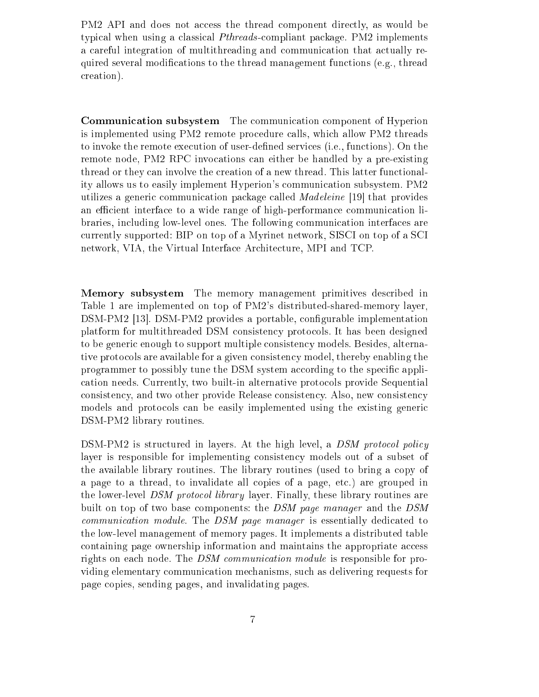PM2 API and does not access the thread component directly, as would be typical when using a classical *Pthreads*-compliant package. PM2 implements a careful integration of multithreading and communication that actually required several modifications to the thread management functions (e.g., thread reation).

Communi
ation subsystem The ommuni
ation omponent of Hyperion is implemented using PM2 remote pro
edure alls, whi
h allow PM2 threads to invoke the remote execution of user-defined services (i.e., functions). On the remote node, PM2 RPC invocations can either be handled by a pre-existing thread or they an involve the reation of a new thread. This latter fun
tionality allows us to easily implement Hyperion's ommuni
ation subsystem. PM2 utilizes a generic communication package called  $\textit{Madeline}$  [19] that provides an efficient interface to a wide range of high-performance communication libraries, in
luding low-level ones. The following ommuni
ation interfa
es are urrently supported: BIP on top of a Myrinet network, SISCI on top of a SCI network, VIA, the Virtual Interfa
e Ar
hite
ture, MPI and TCP.

Memory subsystem The memory management primitives described in Table 1 are implemented on top of PM2's distributed-shared-memory layer, DSM-PM2 [13]. DSM-PM2 provides a portable, configurable implementation platform for multithreaded DSM onsisten
y proto
ols. It has been designed to be generi enough to support multiple onsisten
y models. Besides, alternative proto
ols are available for a given onsisten
y model, thereby enabling the programmer to possibly tune the DSM system according to the specific appliation needs. Currently, two built-in alternative proto
ols provide Sequential consistency, and two other provide Release consistency. Also, new consistency models and protocols can be easily implemented using the existing generic DSM-PM2 library routines.

DSM-PM2 is structured in layers. At the high level, a *DSM protocol policy* layer is responsible for implementing consistency models out of a subset of the available library routines. The library routines (used to bring a opy of a page to a thread, to invalidate all copies of a page, etc.) are grouped in the lower-level *DSM protocol library* layer. Finally, these library routines are built on top of two base components: the DSM page manager and the DSM communication module. The DSM page manager is essentially dedicated to the low-level management of memory pages. It implements a distributed table containing page ownership information and maintains the appropriate access rights on each node. The *DSM communication module* is responsible for providing elementary ommuni
ation me
hanisms, su
h as delivering requests for page opies, sending pages, and invalidating pages.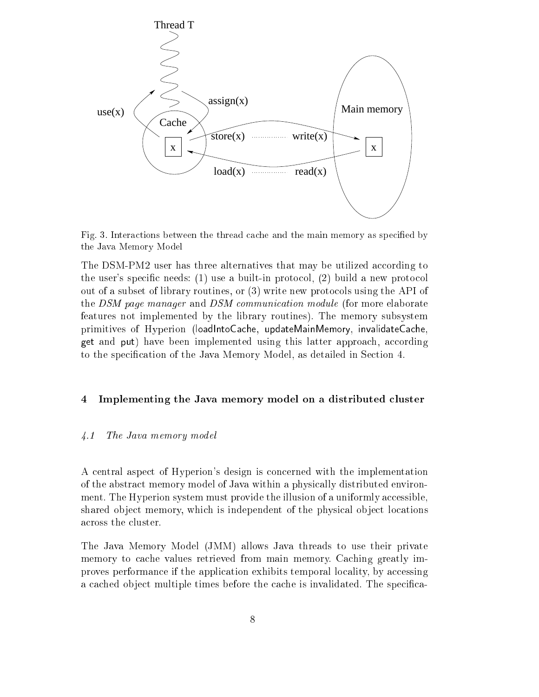

Fig. 3. Interactions between the thread cache and the main memory as specified by the Java Memory Model

The DSM-PM2 user has three alternatives that may be utilized according to the user's specific needs:  $(1)$  use a built-in protocol,  $(2)$  build a new protocol out of a subset of library routines, or (3) write new proto
ols using the API of the DSM page manager and DSM communication module (for more elaborate features not implemented by the library routines). The memory subsystem primitives of Hyperion (loadIntoCache, updateMainMemory, invalidateCache, get and put, have been inplemented using this latter approach, and a proportion to the specification of the Java Memory Model, as detailed in Section 4.

#### 4 Implementing the Java memory model on a distributed luster

#### 4.1 The Java memory model

A entral aspe
t of Hyperion's design is on
erned with the implementation of the abstra
t memory model of Java within a physi
ally distributed environment. The Hyperion system must provide the illusion of a uniformly accessible, shared object memory, which is independent of the physical object locations across the cluster.

The Java Memory Model (JMM) allows Java threads to use their private memory to cache values retrieved from main memory. Caching greatly improves performance if the application exhibits temporal locality, by accessing a cached object multiple times before the cache is invalidated. The specifica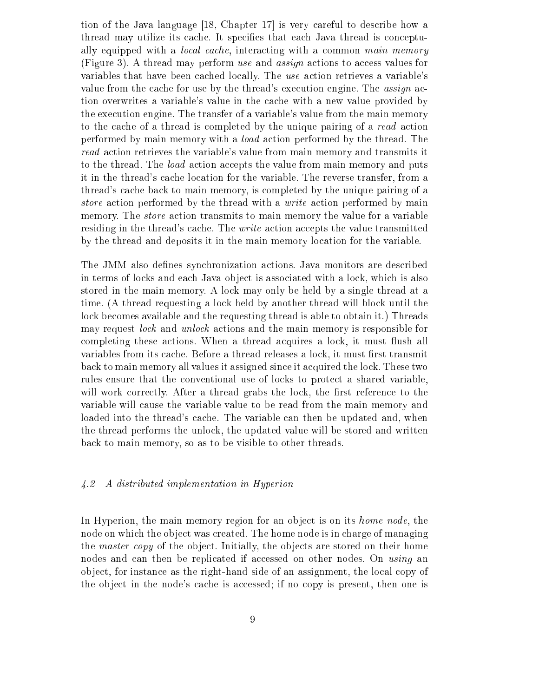tion of the Java language  $|18$ , Chapter 17 is very careful to describe how a thread may utilize its cache. It specifies that each Java thread is conceptually equipped with a *local cache*, interacting with a common main memory (Figure 3). A thread may perform use and assign actions to access values for variables that have been cached locally. The use action retrieves a variable's value from the cache for use by the thread's execution engine. The *assign* action overwrites a variable's value in the cache with a new value provided by the exe
ution engine. The transfer of a variable's value from the main memory to the cache of a thread is completed by the unique pairing of a *read* action performed by main memory with a load a
tion performed by the thread. The read action retrieves the variable's value from main memory and transmits it to the thread. The *load* action accepts the value from main memory and puts it in the thread's a
he lo
ation for the variable. The reverse transfer, from a thread's a
he ba
k to main memory, is ompleted by the unique pairing of a store action performed by the thread with a *write* action performed by main memory. The *store* action transmits to main memory the value for a variable residing in the thread's cache. The *write* action accepts the value transmitted by the thread and deposits it in the main memory location for the variable.

The JMM also defines synchronization actions. Java monitors are described in terms of lo
ks and ea
h Java obje
t is asso
iated with a lo
k, whi
h is also stored in the main memory. A lo
k may only be held by a single thread at a time. (A thread requesting a lo
k held by another thread will blo
k until the lock becomes available and the requesting thread is able to obtain it.) Threads may request *lock* and *unlock* actions and the main memory is responsible for completing these actions. When a thread acquires a lock, it must flush all variables from its cache. Before a thread releases a lock, it must first transmit back to main memory all values it assigned since it acquired the lock. These two rules ensure that the onventional use of lo
ks to prote
t a shared variable, will work correctly. After a thread grabs the lock, the first reference to the variable will ause the variable value to be read from the main memory and loaded into the thread's cache. The variable can then be updated and, when the thread performs the unlo
k, the updated value will be stored and written ba
k to main memory, so as to be visible to other threads.

#### 4.2 A distributed implementation in Hyperion

In Hyperion, the main memory region for an object is on its *home node*, the node on whi
h the obje
t was reated. The home node is in harge of managing the *master copy* of the object. Initially, the objects are stored on their home nodes and can then be replicated if accessed on other nodes. On using an obje
t, for instan
e as the right-hand side of an assignment, the lo
al opy of the obje
t in the node's a
he is a

essed; if no opy is present, then one is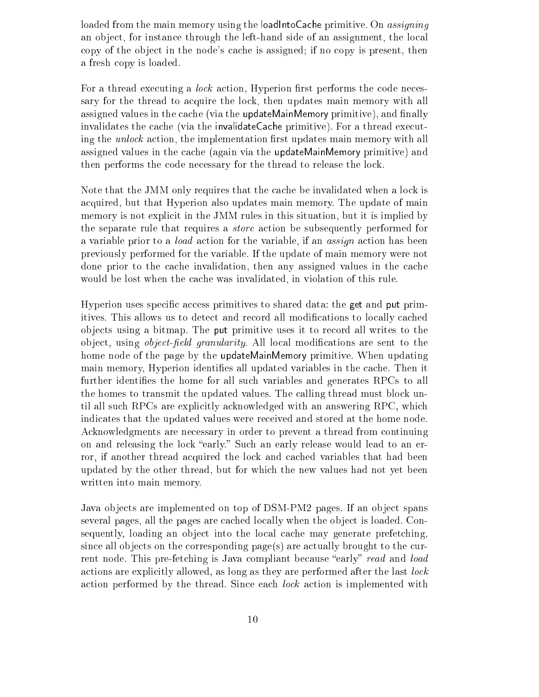loaded from the main memory using the loadIntoCache primitive. On *assigning* an object, for instance through the left-hand side of an assignment, the local copy of the object in the node's cache is assigned; if no copy is present, then a fresh opy is loaded.

For a thread executing a *lock* action, Hyperion first performs the code necessary for the thread to acquire the lock, then updates main memory with all assigned values in the cache (via the updateMainMemory primitive), and finally invalidates the cache (via the invalidateCache primitive). For a thread executing the *unlock* action, the implementation first updates main memory with all assigned values in the a
he (again via the updateMainMemory primitive) and then performs the code necessary for the thread to release the lock.

Note that the JMM only requires that the cache be invalidated when a lock is a
quired, but that Hyperion also updates main memory. The update of main memory is not explicit in the JMM rules in this situation, but it is implied by the separate rule that requires a store a
tion be subsequently performed for a variable prior to a *load* action for the variable, if an *assign* action has been previously performed for the variable. If the update of main memory were not done prior to the cache invalidation, then any assigned values in the cache would be lost when the cache was invalidated, in violation of this rule.

Hyperion uses specific access primitives to shared data: the get and put primitives. This allows us to detect and record all modifications to locally cached obje
ts using a bitmap. The put primitive uses it to re
ord all writes to the object, using *object-field granularity*. All local modifications are sent to the home node of the page by the updateMainMemory primitive. When updating main memory, Hyperion identifies all updated variables in the cache. Then it further identifies the home for all such variables and generates RPCs to all the homes to transmit the updated values. The alling thread must blo
k until all such RPCs are explicitly acknowledged with an answering RPC, which indi
ates that the updated values were re
eived and stored at the home node. Acknowledgments are necessary in order to prevent a thread from continuing on and releasing the lock "early." Such an early release would lead to an error, if another thread a
quired the lo
k and a
hed variables that had been updated by the other thread, but for whi
h the new values had not yet been written into main memory.

Java objects are implemented on top of DSM-PM2 pages. If an object spans several pages, all the pages are cached locally when the object is loaded. Consequently, loading an object into the local cache may generate prefetching, since all objects on the corresponding page(s) are actually brought to the current node. This pre-fetching is Java compliant because "early" read and load actions are explicitly allowed, as long as they are performed after the last lock action performed by the thread. Since each *lock* action is implemented with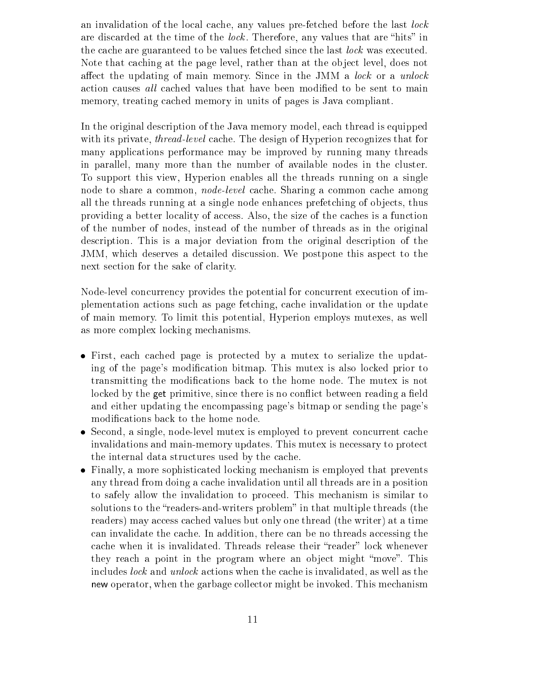an invalidation of the local cache, any values pre-fetched before the last *lock* are discarded at the time of the *lock*. Therefore, any values that are "hits" in the cache are guaranteed to be values fetched since the last *lock* was executed. Note that caching at the page level, rather than at the object level, does not affect the updating of main memory. Since in the JMM a *lock* or a *unlock* action causes all cached values that have been modified to be sent to main memory, treating cached memory in units of pages is Java compliant.

In the original description of the Java memory model, each thread is equipped with its private, *thread-level* cache. The design of Hyperion recognizes that for many appli
ations performan
e may be improved by running many threads in parallel, many more than the number of available nodes in the luster. To support this view, Hyperion enables all the threads running on a single node to share a common, *node-level* cache. Sharing a common cache among all the threads running at a single node enhan
es prefet
hing of obje
ts, thus providing a better locality of access. Also, the size of the caches is a function of the number of nodes, instead of the number of threads as in the original des
ription. This is a major deviation from the original des
ription of the JMM, which deserves a detailed discussion. We postpone this aspect to the next se
tion for the sake of larity.

Node-level concurrency provides the potential for concurrent execution of implementation a
tions su
h as page fet
hing, a
he invalidation or the update of main memory. To limit this potential, Hyperion employs mutexes, as well as more omplex lo
king me
hanisms.

- First, each cached page is protected by a mutex to serialize the updating of the page's modification bitmap. This mutex is also locked prior to transmitting the modifications back to the home node. The mutex is not locked by the get primitive, since there is no conflict between reading a field and either updating the encompassing page's bitmap or sending the page's modifications back to the home node.
- Second, a single, node-level mutex is employed to prevent concurrent cache invalidations and main-memory updates. This mutex is ne
essary to prote
t the internal data structures used by the cache.
- Finally, a more sophisticated locking mechanism is employed that prevents any thread from doing a a
he invalidation until all threads are in a position to safely allow the invalidation to pro
eed. This me
hanism is similar to solutions to the "readers-and-writers problem" in that multiple threads (the readers) may access cached values but only one thread (the writer) at a time can invalidate the cache. In addition, there can be no threads accessing the cache when it is invalidated. Threads release their "reader" lock whenever they reach a point in the program where an object might "move". This includes lock and unlock actions when the cache is invalidated, as well as the new operator, when the garbangs concerned magnetic contracts methods in the international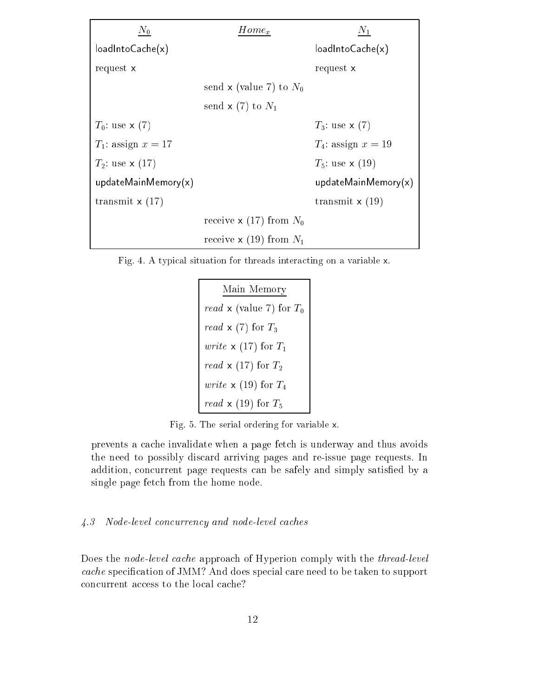| $N_0$                  | $Home_x$                         | $N_1$                  |
|------------------------|----------------------------------|------------------------|
| loadIntoCache(x)       |                                  | loadIntoCache(x)       |
| request x              |                                  | request x              |
|                        | send x (value 7) to $N_0$        |                        |
|                        | send $\times$ (7) to $N_1$       |                        |
| $T_0$ : use x (7)      |                                  | $T_3$ : use x (7)      |
| $T_1$ : assign $x=17$  |                                  | $T_4$ : assign $x=19$  |
| $T_2$ : use x (17)     |                                  | $T_5$ : use x (19)     |
| updateMainMemory $(x)$ |                                  | updateMainMemory $(x)$ |
| transmit $x(17)$       |                                  | transmit $x(19)$       |
|                        | receive $\times$ (17) from $N_0$ |                        |
|                        | receive $\times$ (19) from $N_1$ |                        |

Fig. 4. A typical situation for threads interacting on a variable x.

```
Main Memory
read \times (value 7) for T_0read \times (7) for T_3write \times (17) for T_1read \times (17) for T_2write \times (19) for T_4read \times (19) for T_5
```
Fig. 5. The serial ordering for variable x.

prevents a cache invalidate when a page fetch is underway and thus avoids the need to possibly dis
ard arriving pages and re-issue page requests. In addition, concurrent page requests can be safely and simply satisfied by a single page fet
h from the home node.

#### 4.3 Node-level concurrency and node-level caches

Does the node-level cache approach of Hyperion comply with the thread-level cache specification of JMM? And does special care need to be taken to support concurrent access to the local cache?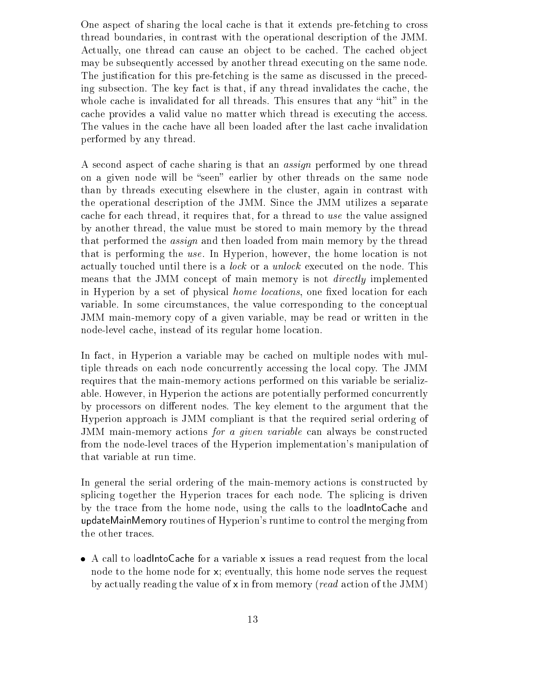One aspect of sharing the local cache is that it extends pre-fetching to cross thread boundaries, in ontrast with the operational des
ription of the JMM. Actually, one thread can cause an object to be cached. The cached object may be subsequently accessed by another thread executing on the same node. The justification for this pre-fetching is the same as discussed in the preceding subsection. The key fact is that, if any thread invalidates the cache, the whole cache is invalidated for all threads. This ensures that any "hit" in the cache provides a valid value no matter which thread is executing the access. The values in the cache have all been loaded after the last cache invalidation performed by any thread.

A second aspect of cache sharing is that an *assign* performed by one thread on a given node will be "seen" earlier by other threads on the same node than by threads exe
uting elsewhere in the luster, again in ontrast with the operational des
ription of the JMM. Sin
e the JMM utilizes a separate cache for each thread, it requires that, for a thread to use the value assigned by another thread, the value must be stored to main memory by the thread that performed the assign and then loaded from main memory by the thread that is performing the use. In Hyperion, however, the home location is not actually touched until there is a *lock* or a *unlock* executed on the node. This means that the JMM concept of main memory is not *directly* implemented in Hyperion by a set of physical *home locations*, one fixed location for each variable. In some circumstances, the value corresponding to the conceptual JMM main-memory opy of a given variable, may be read or written in the node-level cache, instead of its regular home location.

In fact, in Hyperion a variable may be cached on multiple nodes with multiple threads on each node concurrently accessing the local copy. The JMM requires that the main-memory a
tions performed on this variable be serializable. However, in Hyperion the actions are potentially performed concurrently by processors on different nodes. The key element to the argument that the Hyperion approa
h is JMM ompliant is that the required serial ordering of JMM main-memory actions *for a given variable* can always be constructed from the node-level tra
es of the Hyperion implementation's manipulation of that variable at run time.

In general the serial ordering of the main-memory actions is constructed by splicing together the Hyperion traces for each node. The splicing is driven by the trace from the home node, using the calls to the loadIntoCache and updateMainMemory routines of Hyperion's runtime to ontrol the merging from the other tra
es.

• A call to loadIntoCache for a variable x issues a read request from the local node to the home node for x; eventually, this home node serves the request by a
tually reading the value of <sup>x</sup> in from memory (read a
tion of the JMM)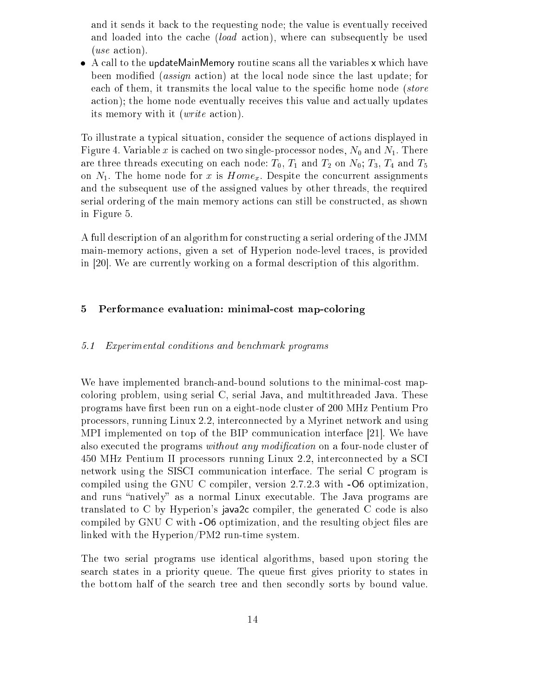and it sends it ba
k to the requesting node; the value is eventually re
eived and loaded into the cache (load action), where can subsequently be used  $(use action).$ 

• A call to the updateMainMemory routine scans all the variables x which have been modified *(assign* action) at the local node since the last update; for each of them, it transmits the local value to the specific home node (store action); the home node eventually receives this value and actually updates its memory with it *(write action)*.

To illustrate a typi
al situation, onsider the sequen
e of a
tions displayed in Figure 4. Variable x is cached on two single-processor nodes,  $N_0$  and  $N_1$ . There are three threads executing on each node:  $T_0$ ,  $T_1$  and  $T_2$  on  $N_0$ ;  $T_3$ ,  $T_4$  and  $T_5$ on  $N_1$ . The home node for x is  $Home_x$ . Despite the concurrent assignments and the subsequent use of the assigned values by other threads, the required serial ordering of the main memory actions can still be constructed, as shown in Figure 5.

A full description of an algorithm for constructing a serial ordering of the JMM main-memory a
tions, given a set of Hyperion node-level tra
es, is provided in [20]. We are currently working on a formal description of this algorithm.

### 5 Performan
e evaluation: minimalost mapoloring

#### $5.1$ Experimental conditions and benchmark programs

We have implemented branch-and-bound solutions to the minimal-cost mapcoloring problem, using serial C, serial Java, and multithreaded Java. These programs have first been run on a eight-node cluster of 200 MHz Pentium Pro pro
essors, running Linux 2.2, inter
onne
ted by a Myrinet network and using MPI implemented on top of the BIP communication interface  $[21]$ . We have also executed the programs *without any modification* on a four-node cluster of 450 MHz Pentium II pro
essors running Linux 2.2, inter
onne
ted by a SCI network using the SISCI communication interface. The serial C program is compiled using the GNU C compiler, version 2.7.2.3 with -O6 optimization, and runs "natively" as a normal Linux executable. The Java programs are translated to C by Hyperion's java2c compiler, the generated C code is also compiled by GNU  $\rm C$  with  $\rm -O6$  optimization, and the resulting object files are linked with the Hyperion/PM2 run-time system.

The two serial programs use identi
al algorithms, based upon storing the search states in a priority queue. The queue first gives priority to states in the bottom half of the sear
h tree and then se
ondly sorts by bound value.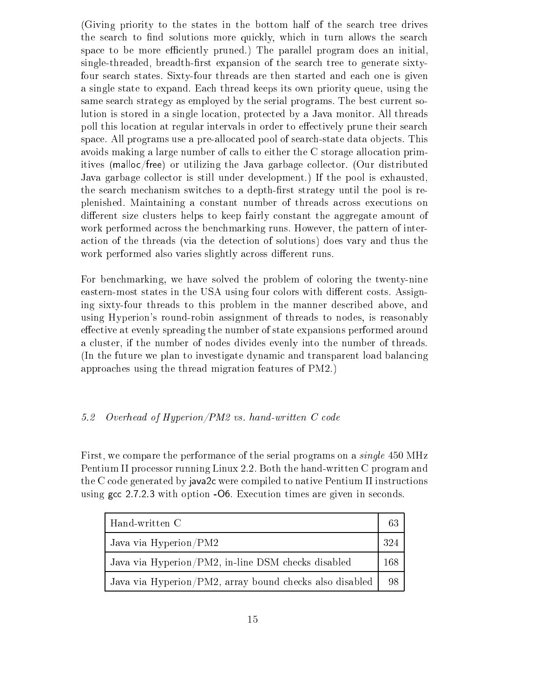(Giving priority to the states in the bottom half of the sear
h tree drives the search to find solutions more quickly, which in turn allows the search space to be more efficiently pruned.) The parallel program does an initial, single-threaded, breadth-first expansion of the search tree to generate sixtyfour sear
h states. Sixty-four threads are then started and ea
h one is given a single state to expand. Ea
h thread keeps its own priority queue, using the same sear
h strategy as employed by the serial programs. The best urrent solution is stored in a single location, protected by a Java monitor. All threads poll this location at regular intervals in order to effectively prune their search space. All programs use a pre-allocated pool of search-state data objects. This avoids making a large number of calls to either the C storage allocation primitives (mallo
/free) or utilizing the Java garbage olle
tor. (Our distributed Java garbage olle
tor is still under development.) If the pool is exhausted, the search mechanism switches to a depth-first strategy until the pool is replenished. Maintaining a onstant number of threads a
ross exe
utions on different size clusters helps to keep fairly constant the aggregate amount of work performed across the benchmarking runs. However, the pattern of intera
tion of the threads (via the dete
tion of solutions) does vary and thus the work performed also varies slightly across different runs.

For benchmarking, we have solved the problem of coloring the twenty-nine eastern-most states in the USA using four colors with different costs. Assigning sixty-four threads to this problem in the manner described above, and using Hyperion's round-robin assignment of threads to nodes, is reasonably effective at evenly spreading the number of state expansions performed around a luster, if the number of nodes divides evenly into the number of threads. (In the future we plan to investigate dynami and transparent load balan
ing approa
hes using the thread migration features of PM2.)

#### 5.2 Overhead of Hyperion/PM2 vs. hand-written C code

First, we compare the performance of the serial programs on a *single* 450 MHz Pentium II pro
essor running Linux 2.2. Both the hand-written C program and the C code generated by java2c were compiled to native Pentium II instructions using gcc 2.7.2.3 with option - 06. Execution times are given in seconds.

| Hand-written C                                          |    |
|---------------------------------------------------------|----|
| Java via Hyperion/PM2                                   |    |
| Java via Hyperion/PM2, in-line DSM checks disabled      |    |
| Java via Hyperion/PM2, array bound checks also disabled | 98 |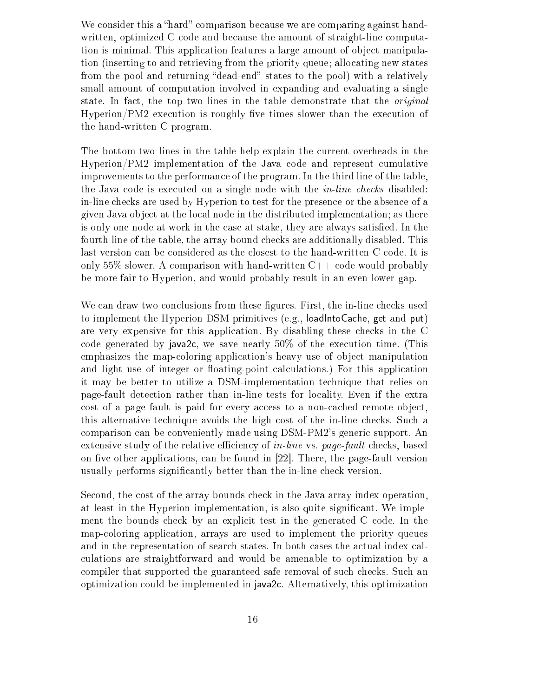We consider this a "hard" comparison because we are comparing against handwritten, optimized C code and because the amount of straight-line computation is minimal. This application features a large amount of object manipulation (inserting to and retrieving from the priority queue; allo
ating new states from the pool and returning "dead-end" states to the pool) with a relatively small amount of computation involved in expanding and evaluating a single state. In fact, the top two lines in the table demonstrate that the *original*  $Hyperion/PM2$  execution is roughly five times slower than the execution of the hand-written C program.

The bottom two lines in the table help explain the urrent overheads in the Hyperion/PM2 implementation of the Java ode and represent umulative improvements to the performan
e of the program. In the third line of the table, the Java code is executed on a single node with the *in-line checks* disabled: in-line checks are used by Hyperion to test for the presence or the absence of a given Java obje
t at the lo
al node in the distributed implementation; as there is only one node at work in the case at stake, they are always satisfied. In the fourth line of the table, the array bound he
ks are additionally disabled. This last version an be onsidered as the losest to the hand-written C ode. It is only 55% slower. A comparison with hand-written  $C++$  code would probably be more fair to Hyperion, and would probably result in an even lower gap.

We can draw two conclusions from these figures. First, the in-line checks used to implement the Hyperion DSM primitives (e.g., loadIntoCache, get and put) are very expensive for this appli
ation. By disabling these he
ks in the C code generated by java2c, we save nearly  $50\%$  of the execution time. (This emphasizes the mapoloring appli
ation's heavy use of obje
t manipulation and light use of integer or floating-point calculations.) For this application it may be better to utilize a DSM-implementation te
hnique that relies on page-fault dete
tion rather than in-line tests for lo
ality. Even if the extra cost of a page fault is paid for every access to a non-cached remote object. this alternative technique avoids the high cost of the in-line checks. Such a omparison an be onveniently made using DSM-PM2's generi support. An extensive study of the relative efficiency of  $in-line$  vs.  $page-fault$  checks, based on five other applications, can be found in  $[22]$ . There, the page-fault version usually performs significantly better than the in-line check version.

Second, the cost of the array-bounds check in the Java array-index operation, at least in the Hyperion implementation, is also quite significant. We implement the bounds check by an explicit test in the generated C code. In the mapoloring appli
ation, arrays are used to implement the priority queues and in the representation of search states. In both cases the actual index calulations are straightforward and would be amenable to optimization by a compiler that supported the guaranteed safe removal of such checks. Such an optimization ould be implemented in java2
. Alternatively, this optimization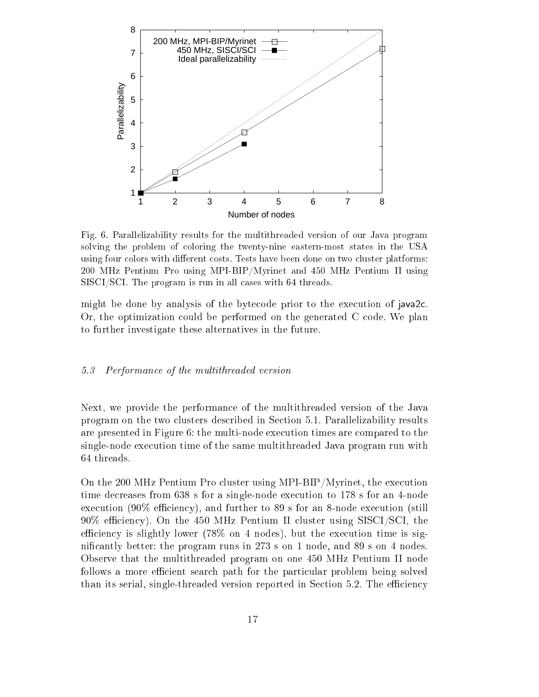

Fig. 6. Parallelizability results for the multithreaded version of our Java program solving the problem of oloring the twenty-nine eastern-most states in the USA using four colors with different costs. Tests have been done on two cluster platforms: 200 MHz Pentium Pro using MPI-BIP/Myrinet and 450 MHz Pentium II using SISCI/SCI. The program is run in all cases with 64 threads.

might be done by analysis of the bytecode prior to the execution of java2c. Or, the optimization could be performed on the generated C code. We plan to further investigate these alternatives in the future.

#### 5.3 Performan
e of the multithreaded version

Next, we provide the performan
e of the multithreaded version of the Java program on the two lusters des
ribed in Se
tion 5.1. Parallelizability results are presented in Figure 6: the multi-node execution times are compared to the single-node execution time of the same multithreaded Java program run with 64 threads.

On the 200 MHz Pentium Pro cluster using MPI-BIP/Myrinet, the execution time de
reases from 638 s for a single-node exe
ution to 178 s for an 4-node execution (90% efficiency), and further to 89 s for an 8-node execution (still 90% efficiency). On the 450 MHz Pentium II cluster using SISCI/SCI, the efficiency is slightly lower (78% on 4 nodes), but the execution time is significantly better: the program runs in 273 s on 1 node, and 89 s on 4 nodes. Observe that the multithreaded program on one 450 MHz Pentium II node follows a more efficient search path for the particular problem being solved than its serial, single-threaded version reported in Section 5.2. The efficiency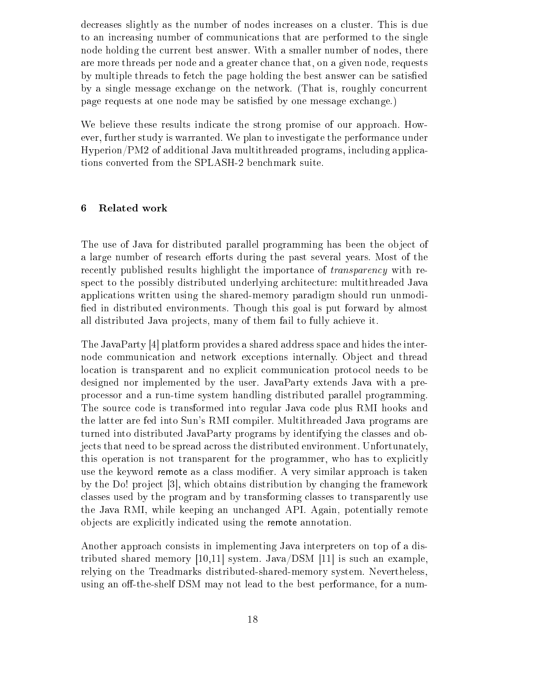decreases slightly as the number of nodes increases on a cluster. This is due to an in
reasing number of ommuni
ations that are performed to the single node holding the urrent best answer. With a smaller number of nodes, there are more threads per node and a greater han
e that, on a given node, requests by multiple threads to fetch the page holding the best answer can be satisfied by a single message ex
hange on the network. (That is, roughly on
urrent page requests at one node may be satisfied by one message exchange.)

We believe these results indicate the strong promise of our approach. However, further study is warranted. We plan to investigate the performan
e under Hyperion/PM2 of additional Java multithreaded programs, in
luding appli
ations onverted from the SPLASH-2 ben
hmark suite.

#### 6 Related work

The use of Java for distributed parallel programming has been the obje
t of a large number of research efforts during the past several years. Most of the recently published results highlight the importance of *transparency* with respect to the possibly distributed underlying architecture: multithreaded Java appli
ations written using the shared-memory paradigm should run unmodi fied in distributed environments. Though this goal is put forward by almost all distributed Java proje
ts, many of them fail to fully a
hieve it.

The JavaParty [4] platform provides a shared address space and hides the internode ommuni
ation and network ex
eptions internally. Obje
t and thread location is transparent and no explicit communication protocol needs to be designed nor implemented by the user. JavaParty extends Java with a prepro
essor and a run-time system handling distributed parallel programming. The sour
e ode is transformed into regular Java ode plus RMI hooks and the latter are fed into Sun's RMI ompiler. Multithreaded Java programs are turned into distributed JavaParty programs by identifying the lasses and obje
ts that need to be spread a
ross the distributed environment. Unfortunately, this operation is not transparent for the programmer, who has to explicitly use the keyword remote as a class modifier. A very similar approach is taken by the Do! project [3], which obtains distribution by changing the framework lasses used by the program and by transforming lasses to transparently use the Java RMI, while keeping an un
hanged API. Again, potentially remote objects are explicitly indicated using the remote annotation.

Another approach consists in implementing Java interpreters on top of a distributed shared memory  $[10,11]$  system. Java/DSM  $[11]$  is such an example, relying on the Treadmarks distributed-shared-memory system. Nevertheless, using an off-the-shelf DSM may not lead to the best performance, for a num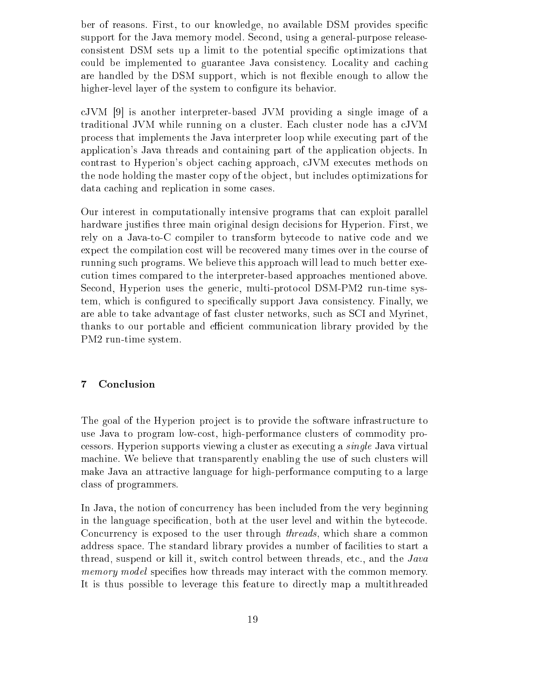ber of reasons. First, to our knowledge, no available DSM provides spe
i support for the Java memory model. Second, using a general-purpose releaseconsistent DSM sets up a limit to the potential specific optimizations that could be implemented to guarantee Java consistency. Locality and caching are handled by the DSM support, which is not flexible enough to allow the higher-level layer of the system to configure its behavior.

 $cJVM$  [9] is another interpreter-based JVM providing a single image of a traditional JVM while running on a cluster. Each cluster node has a cJVM pro
ess that implements the Java interpreter loop while exe
uting part of the appli
ation's Java threads and ontaining part of the appli
ation obje
ts. In ontrast to Hyperion's obje
t a
hing approa
h, JVM exe
utes methods on the node holding the master opy of the obje
t, but in
ludes optimizations for data caching and replication in some cases.

Our interest in omputationally intensive programs that an exploit parallel hardware justifies three main original design decisions for Hyperion. First, we rely on a Java-to-C ompiler to transform byte
ode to native ode and we expect the compilation cost will be recovered many times over in the course of running su
h programs. We believe this approa
h will lead to mu
h better exe ution times ompared to the interpreter-based approa
hes mentioned above. Second, Hyperion uses the generic, multi-protocol DSM-PM2 run-time system, which is configured to specifically support Java consistency. Finally, we are able to take advantage of fast luster networks, su
h as SCI and Myrinet, thanks to our portable and efficient communication library provided by the PM2 run-time system.

#### 7 Con
lusion

The goal of the Hyperion project is to provide the software infrastructure to use Java to program lowost, high-performan
e lusters of ommodity pro cessors. Hyperion supports viewing a cluster as executing a *single* Java virtual machine. We believe that transparently enabling the use of such clusters will make Java an attra
tive language for high-performan
e omputing to a large lass of programmers.

In Java, the notion of concurrency has been included from the very beginning in the language specification, both at the user level and within the bytecode. Concurrency is exposed to the user through *threads*, which share a common address space. The standard library provides a number of facilities to start a thread, suspend or kill it, switch control between threads, etc., and the  $Java$ memory model specifies how threads may interact with the common memory. It is thus possible to leverage this feature to directly map a multithreaded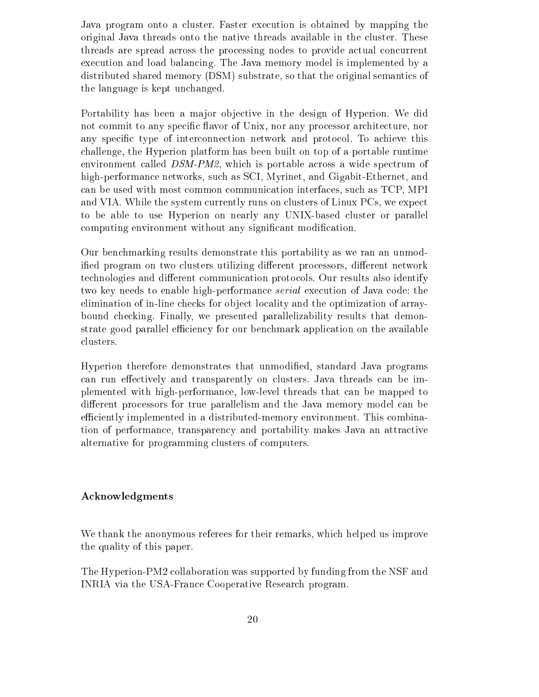Java program onto a luster. Faster exe
ution is obtained by mapping the original Java threads onto the native threads available in the luster. These threads are spread across the processing nodes to provide actual concurrent exe
ution and load balan
ing. The Java memory model is implemented by a distributed shared memory (DSM) substrate, so that the original semantics of the language is kept un
hanged.

Portability has been a major obje
tive in the design of Hyperion. We did not commit to any specific flavor of Unix, nor any processor architecture, nor any specific type of interconnection network and protocol. To achieve this hallenge, the Hyperion platform has been built on top of a portable runtime environment called *DSM-PM2*, which is portable across a wide spectrum of high-performance networks, such as SCI, Myrinet, and Gigabit-Ethernet, and an be used with most ommon ommuni
ation interfa
es, su
h as TCP, MPI and VIA. While the system currently runs on clusters of Linux PCs, we expect to be able to use Hyperion on nearly any UNIX-based luster or parallel computing environment without any significant modification.

Our ben
hmarking results demonstrate this portability as we ran an unmodified program on two clusters utilizing different processors, different network technologies and different communication protocols. Our results also identify two key needs to enable high-performance *serial* execution of Java code: the elimination of in-line checks for object locality and the optimization of arraybound he
king. Finally, we presented parallelizability results that demonstrate good parallel efficiency for our benchmark application on the available lusters.

Hyperion therefore demonstrates that unmodified, standard Java programs can run effectively and transparently on clusters. Java threads can be implemented with high-performan
e, low-level threads that an be mapped to different processors for true parallelism and the Java memory model can be efficiently implemented in a distributed-memory environment. This combination of performan
e, transparen
y and portability makes Java an attra
tive alternative for programming lusters of omputers.

#### A
knowledgments

We thank the anonymous referees for their remarks, which helped us improve the quality of this paper.

The Hyperion-PM2 ollaboration was supported by funding from the NSF and INRIA via the USA-Fran
e Cooperative Resear
h program.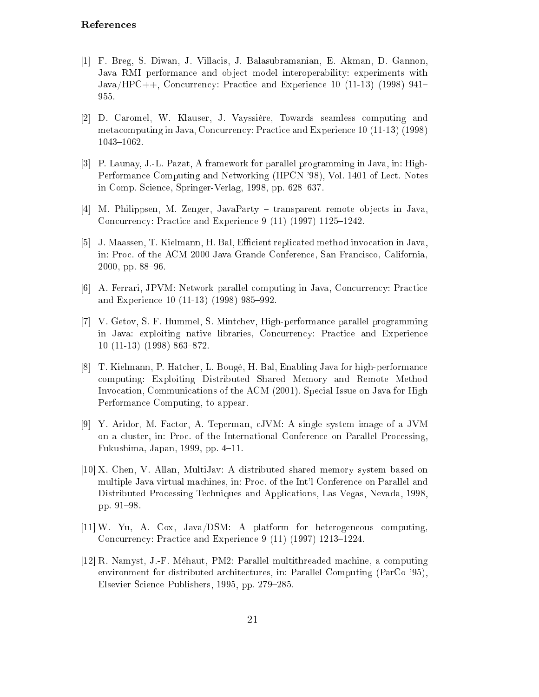#### Referen
es

- [1] F. Breg, S. Diwan, J. Villacis, J. Balasubramanian, E. Akman, D. Gannon, Java RMI performance and object model interoperability: experiments with Java/HPC++, Concurrency: Practice and Experience 10 (11-13) (1998) 941– 955.
- [2] D. Caromel, W. Klauser, J. Vayssière, Towards seamless computing and meta
omputing in Java, Con
urren
y: Pra
ti
e and Experien
e 10 (11-13) (1998) 1043-1062.
- [3] P. Launay, J.-L. Pazat, A framework for parallel programming in Java, in: High-Performan
e Computing and Networking (HPCN '98), Vol. 1401 of Le
t. Notes in Comp. Science, Springer-Verlag, 1998, pp. 628–637.
- $[4]$  M. Philippsen, M. Zenger, JavaParty transparent remote objects in Java, Concurrency: Practice and Experience 9 (11) (1997) 1125–1242.
- [5] J. Maassen, T. Kielmann, H. Bal, Efficient replicated method invocation in Java, in: Proc. of the ACM 2000 Java Grande Conference, San Francisco, California, 2000, pp. 88-96.
- [6] A. Ferrari, JPVM: Network parallel computing in Java, Concurrency: Practice and Experience 10 (11-13) (1998) 985-992.
- [7] V. Getov, S. F. Hummel, S. Mintchev, High-performance parallel programming in Java: exploiting native libraries, Concurrency: Practice and Experience  $10$  (11-13) (1998) 863-872.
- [8] T. Kielmann, P. Hatcher, L. Bougé, H. Bal, Enabling Java for high-performance omputing: Exploiting Distributed Shared Memory and Remote Method Invocation, Communications of the ACM (2001). Special Issue on Java for High Performan
e Computing, to appear.
- [9] Y. Aridor, M. Factor, A. Teperman, cJVM: A single system image of a JVM on a luster, in: Pro
. of the International Conferen
e on Parallel Pro
essing, Fukushima, Japan, 1999, pp.  $4-11$ .
- [10] X. Chen, V. Allan, MultiJav: A distributed shared memory system based on multiple Java virtual machines, in: Proc. of the Int'l Conference on Parallel and Distributed Processing Techniques and Applications, Las Vegas, Nevada, 1998, pp. 91-98.
- [11] W. Yu, A. Cox, Java/DSM: A platform for heterogeneous computing, Concurrency: Practice and Experience 9 (11) (1997) 1213–1224.
- [12] R. Namyst, J.-F. Méhaut, PM2: Parallel multithreaded machine, a computing environment for distributed architectures, in: Parallel Computing (ParCo '95), Elsevier Science Publishers, 1995, pp. 279–285.